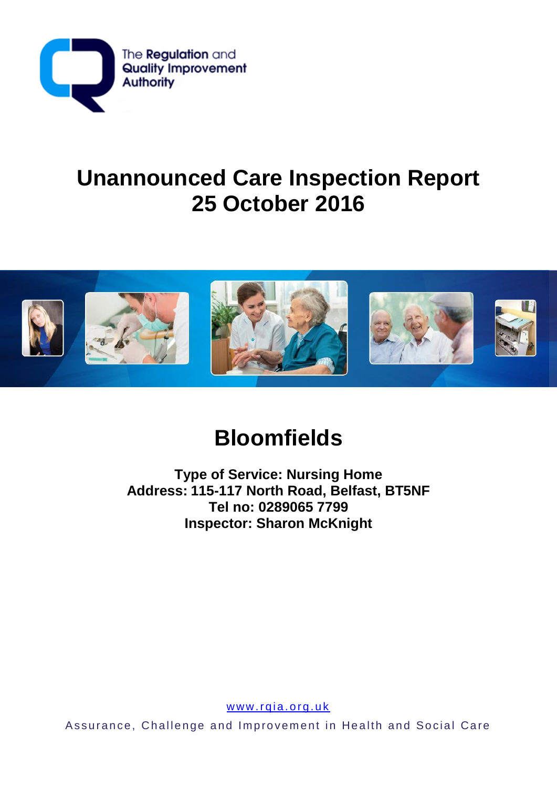

## **Unannounced Care Inspection Report 25 October 2016**



# **Bloomfields**

**Type of Service: Nursing Home Address: 115-117 North Road, Belfast, BT5NF Tel no: 0289065 7799 Inspector: Sharon McKnight** 

www.rqia.org.uk

Assurance, Challenge and Improvement in Health and Social Care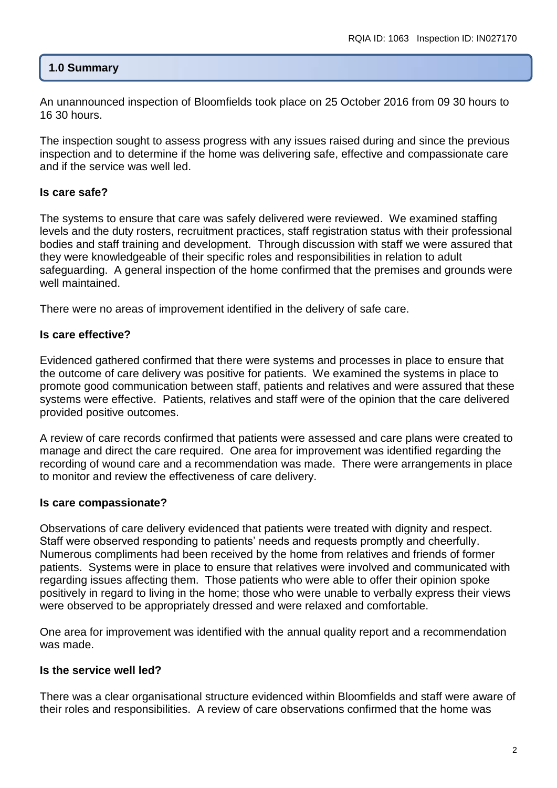#### **1.0 Summary**

An unannounced inspection of Bloomfields took place on 25 October 2016 from 09 30 hours to 16 30 hours.

The inspection sought to assess progress with any issues raised during and since the previous inspection and to determine if the home was delivering safe, effective and compassionate care and if the service was well led.

#### **Is care safe?**

The systems to ensure that care was safely delivered were reviewed. We examined staffing levels and the duty rosters, recruitment practices, staff registration status with their professional bodies and staff training and development. Through discussion with staff we were assured that they were knowledgeable of their specific roles and responsibilities in relation to adult safeguarding. A general inspection of the home confirmed that the premises and grounds were well maintained.

There were no areas of improvement identified in the delivery of safe care.

#### **Is care effective?**

Evidenced gathered confirmed that there were systems and processes in place to ensure that the outcome of care delivery was positive for patients. We examined the systems in place to promote good communication between staff, patients and relatives and were assured that these systems were effective. Patients, relatives and staff were of the opinion that the care delivered provided positive outcomes.

A review of care records confirmed that patients were assessed and care plans were created to manage and direct the care required. One area for improvement was identified regarding the recording of wound care and a recommendation was made. There were arrangements in place to monitor and review the effectiveness of care delivery.

#### **Is care compassionate?**

Observations of care delivery evidenced that patients were treated with dignity and respect. Staff were observed responding to patients' needs and requests promptly and cheerfully. Numerous compliments had been received by the home from relatives and friends of former patients. Systems were in place to ensure that relatives were involved and communicated with regarding issues affecting them. Those patients who were able to offer their opinion spoke positively in regard to living in the home; those who were unable to verbally express their views were observed to be appropriately dressed and were relaxed and comfortable.

One area for improvement was identified with the annual quality report and a recommendation was made.

#### **Is the service well led?**

There was a clear organisational structure evidenced within Bloomfields and staff were aware of their roles and responsibilities. A review of care observations confirmed that the home was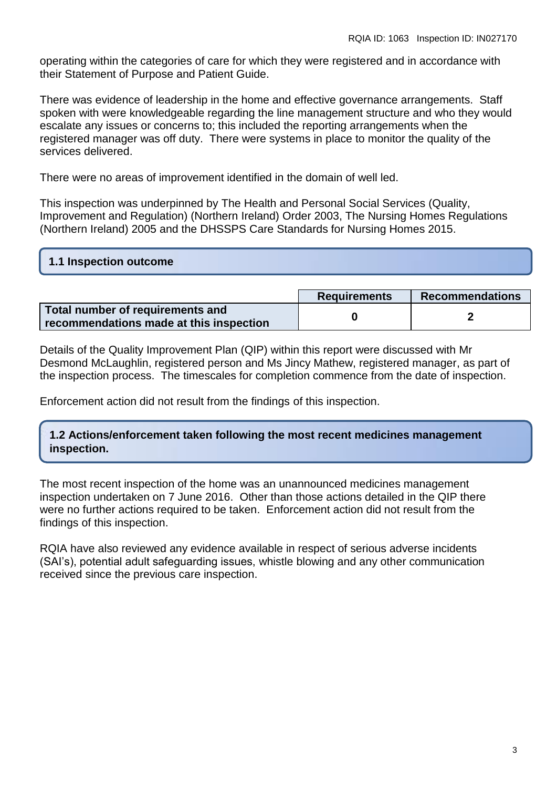operating within the categories of care for which they were registered and in accordance with their Statement of Purpose and Patient Guide.

There was evidence of leadership in the home and effective governance arrangements. Staff spoken with were knowledgeable regarding the line management structure and who they would escalate any issues or concerns to; this included the reporting arrangements when the registered manager was off duty. There were systems in place to monitor the quality of the services delivered.

There were no areas of improvement identified in the domain of well led.

This inspection was underpinned by The Health and Personal Social Services (Quality, Improvement and Regulation) (Northern Ireland) Order 2003, The Nursing Homes Regulations (Northern Ireland) 2005 and the DHSSPS Care Standards for Nursing Homes 2015.

### **1.1 Inspection outcome**

|                                                                             | <b>Requirements</b> | Recommendations |
|-----------------------------------------------------------------------------|---------------------|-----------------|
| Total number of requirements and<br>recommendations made at this inspection |                     |                 |

Details of the Quality Improvement Plan (QIP) within this report were discussed with Mr Desmond McLaughlin, registered person and Ms Jincy Mathew, registered manager, as part of the inspection process. The timescales for completion commence from the date of inspection.

Enforcement action did not result from the findings of this inspection.

**1.2 Actions/enforcement taken following the most recent medicines management inspection.**

The most recent inspection of the home was an unannounced medicines management inspection undertaken on 7 June 2016. Other than those actions detailed in the QIP there were no further actions required to be taken. Enforcement action did not result from the findings of this inspection.

RQIA have also reviewed any evidence available in respect of serious adverse incidents (SAI's), potential adult safeguarding issues, whistle blowing and any other communication received since the previous care inspection.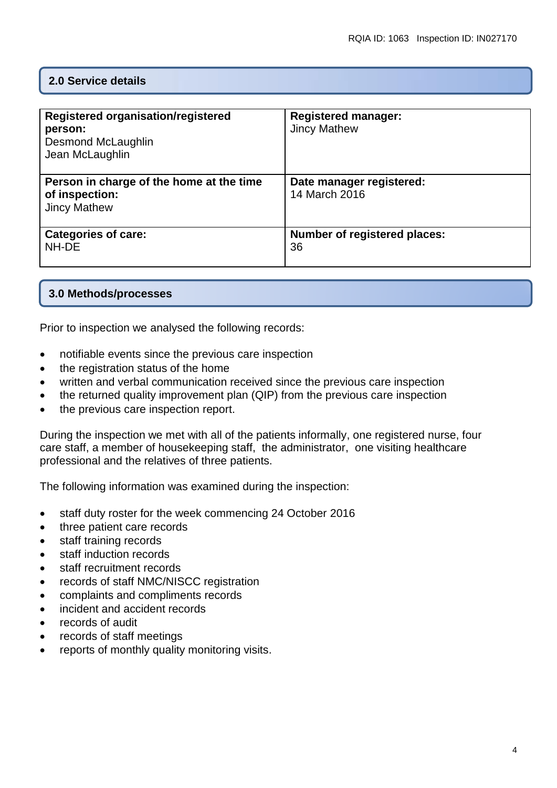#### **2.0 Service details**

| Registered organisation/registered<br>person:<br>Desmond McLaughlin<br>Jean McLaughlin | <b>Registered manager:</b><br><b>Jincy Mathew</b> |
|----------------------------------------------------------------------------------------|---------------------------------------------------|
| Person in charge of the home at the time<br>of inspection:<br><b>Jincy Mathew</b>      | Date manager registered:<br>14 March 2016         |
| <b>Categories of care:</b><br>NH-DE                                                    | <b>Number of registered places:</b><br>36         |

#### **3.0 Methods/processes**

Prior to inspection we analysed the following records:

- notifiable events since the previous care inspection
- the registration status of the home
- written and verbal communication received since the previous care inspection
- the returned quality improvement plan (QIP) from the previous care inspection
- the previous care inspection report.

During the inspection we met with all of the patients informally, one registered nurse, four care staff, a member of housekeeping staff, the administrator, one visiting healthcare professional and the relatives of three patients.

The following information was examined during the inspection:

- staff duty roster for the week commencing 24 October 2016
- three patient care records
- staff training records
- staff induction records
- staff recruitment records
- records of staff NMC/NISCC registration
- complaints and compliments records
- incident and accident records
- records of audit
- records of staff meetings
- reports of monthly quality monitoring visits.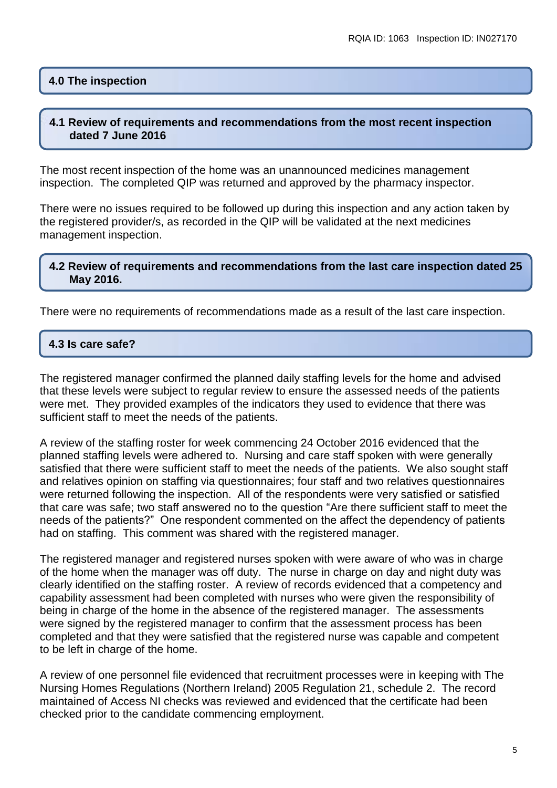#### **4.0 The inspection**

#### **4.1 Review of requirements and recommendations from the most recent inspection dated 7 June 2016**

The most recent inspection of the home was an unannounced medicines management inspection. The completed QIP was returned and approved by the pharmacy inspector.

There were no issues required to be followed up during this inspection and any action taken by the registered provider/s, as recorded in the QIP will be validated at the next medicines management inspection.

#### **4.2 Review of requirements and recommendations from the last care inspection dated 25 May 2016.**

There were no requirements of recommendations made as a result of the last care inspection.

#### **4.3 Is care safe?**

The registered manager confirmed the planned daily staffing levels for the home and advised that these levels were subject to regular review to ensure the assessed needs of the patients were met. They provided examples of the indicators they used to evidence that there was sufficient staff to meet the needs of the patients.

A review of the staffing roster for week commencing 24 October 2016 evidenced that the planned staffing levels were adhered to. Nursing and care staff spoken with were generally satisfied that there were sufficient staff to meet the needs of the patients. We also sought staff and relatives opinion on staffing via questionnaires; four staff and two relatives questionnaires were returned following the inspection. All of the respondents were very satisfied or satisfied that care was safe; two staff answered no to the question "Are there sufficient staff to meet the needs of the patients?" One respondent commented on the affect the dependency of patients had on staffing. This comment was shared with the registered manager.

The registered manager and registered nurses spoken with were aware of who was in charge of the home when the manager was off duty. The nurse in charge on day and night duty was clearly identified on the staffing roster. A review of records evidenced that a competency and capability assessment had been completed with nurses who were given the responsibility of being in charge of the home in the absence of the registered manager. The assessments were signed by the registered manager to confirm that the assessment process has been completed and that they were satisfied that the registered nurse was capable and competent to be left in charge of the home.

A review of one personnel file evidenced that recruitment processes were in keeping with The Nursing Homes Regulations (Northern Ireland) 2005 Regulation 21, schedule 2. The record maintained of Access NI checks was reviewed and evidenced that the certificate had been checked prior to the candidate commencing employment.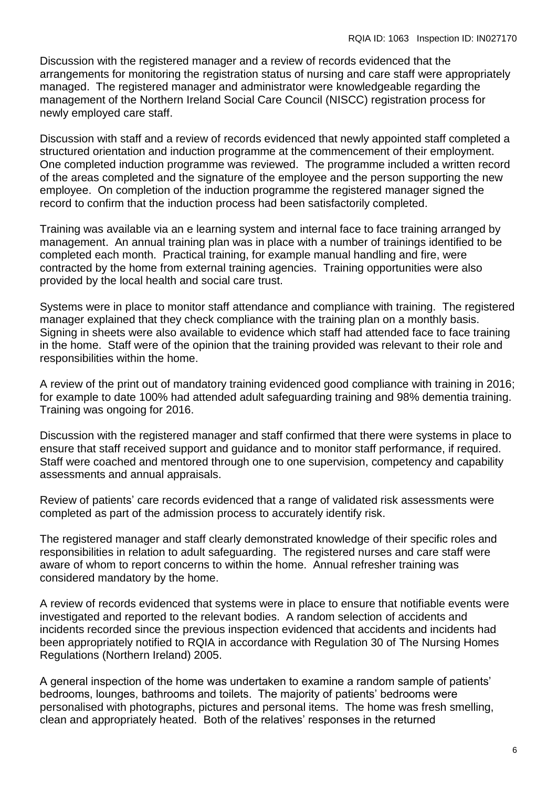Discussion with the registered manager and a review of records evidenced that the arrangements for monitoring the registration status of nursing and care staff were appropriately managed. The registered manager and administrator were knowledgeable regarding the management of the Northern Ireland Social Care Council (NISCC) registration process for newly employed care staff.

Discussion with staff and a review of records evidenced that newly appointed staff completed a structured orientation and induction programme at the commencement of their employment. One completed induction programme was reviewed. The programme included a written record of the areas completed and the signature of the employee and the person supporting the new employee. On completion of the induction programme the registered manager signed the record to confirm that the induction process had been satisfactorily completed.

Training was available via an e learning system and internal face to face training arranged by management. An annual training plan was in place with a number of trainings identified to be completed each month. Practical training, for example manual handling and fire, were contracted by the home from external training agencies. Training opportunities were also provided by the local health and social care trust.

Systems were in place to monitor staff attendance and compliance with training. The registered manager explained that they check compliance with the training plan on a monthly basis. Signing in sheets were also available to evidence which staff had attended face to face training in the home. Staff were of the opinion that the training provided was relevant to their role and responsibilities within the home.

A review of the print out of mandatory training evidenced good compliance with training in 2016; for example to date 100% had attended adult safeguarding training and 98% dementia training. Training was ongoing for 2016.

Discussion with the registered manager and staff confirmed that there were systems in place to ensure that staff received support and guidance and to monitor staff performance, if required. Staff were coached and mentored through one to one supervision, competency and capability assessments and annual appraisals.

Review of patients' care records evidenced that a range of validated risk assessments were completed as part of the admission process to accurately identify risk.

The registered manager and staff clearly demonstrated knowledge of their specific roles and responsibilities in relation to adult safeguarding. The registered nurses and care staff were aware of whom to report concerns to within the home. Annual refresher training was considered mandatory by the home.

A review of records evidenced that systems were in place to ensure that notifiable events were investigated and reported to the relevant bodies. A random selection of accidents and incidents recorded since the previous inspection evidenced that accidents and incidents had been appropriately notified to RQIA in accordance with Regulation 30 of The Nursing Homes Regulations (Northern Ireland) 2005.

A general inspection of the home was undertaken to examine a random sample of patients' bedrooms, lounges, bathrooms and toilets. The majority of patients' bedrooms were personalised with photographs, pictures and personal items. The home was fresh smelling, clean and appropriately heated. Both of the relatives' responses in the returned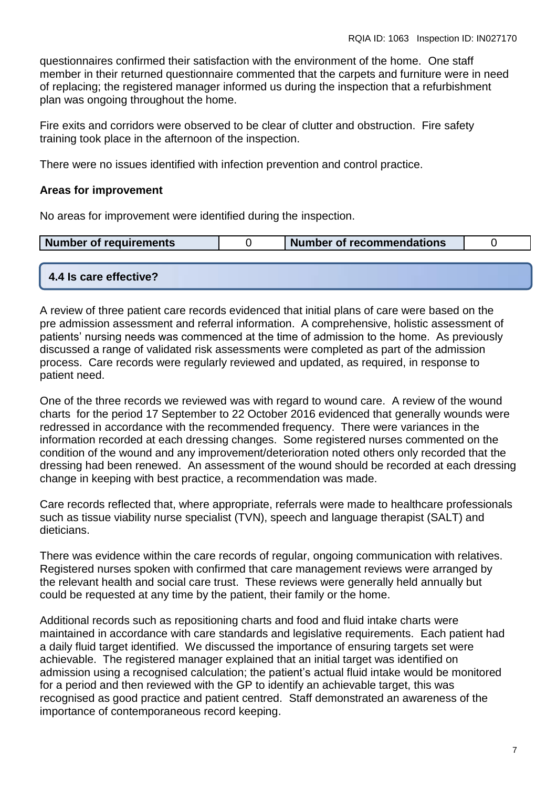questionnaires confirmed their satisfaction with the environment of the home. One staff member in their returned questionnaire commented that the carpets and furniture were in need of replacing; the registered manager informed us during the inspection that a refurbishment plan was ongoing throughout the home.

Fire exits and corridors were observed to be clear of clutter and obstruction. Fire safety training took place in the afternoon of the inspection.

There were no issues identified with infection prevention and control practice.

#### **Areas for improvement**

No areas for improvement were identified during the inspection.

|  | Number of requirements |  | Number of recommendations |  |
|--|------------------------|--|---------------------------|--|
|--|------------------------|--|---------------------------|--|

#### **4.4 Is care effective?**

A review of three patient care records evidenced that initial plans of care were based on the pre admission assessment and referral information. A comprehensive, holistic assessment of patients' nursing needs was commenced at the time of admission to the home. As previously discussed a range of validated risk assessments were completed as part of the admission process. Care records were regularly reviewed and updated, as required, in response to patient need.

One of the three records we reviewed was with regard to wound care. A review of the wound charts for the period 17 September to 22 October 2016 evidenced that generally wounds were redressed in accordance with the recommended frequency. There were variances in the information recorded at each dressing changes. Some registered nurses commented on the condition of the wound and any improvement/deterioration noted others only recorded that the dressing had been renewed. An assessment of the wound should be recorded at each dressing change in keeping with best practice, a recommendation was made.

Care records reflected that, where appropriate, referrals were made to healthcare professionals such as tissue viability nurse specialist (TVN), speech and language therapist (SALT) and dieticians.

There was evidence within the care records of regular, ongoing communication with relatives. Registered nurses spoken with confirmed that care management reviews were arranged by the relevant health and social care trust. These reviews were generally held annually but could be requested at any time by the patient, their family or the home.

Additional records such as repositioning charts and food and fluid intake charts were maintained in accordance with care standards and legislative requirements. Each patient had a daily fluid target identified. We discussed the importance of ensuring targets set were achievable. The registered manager explained that an initial target was identified on admission using a recognised calculation; the patient's actual fluid intake would be monitored for a period and then reviewed with the GP to identify an achievable target, this was recognised as good practice and patient centred. Staff demonstrated an awareness of the importance of contemporaneous record keeping.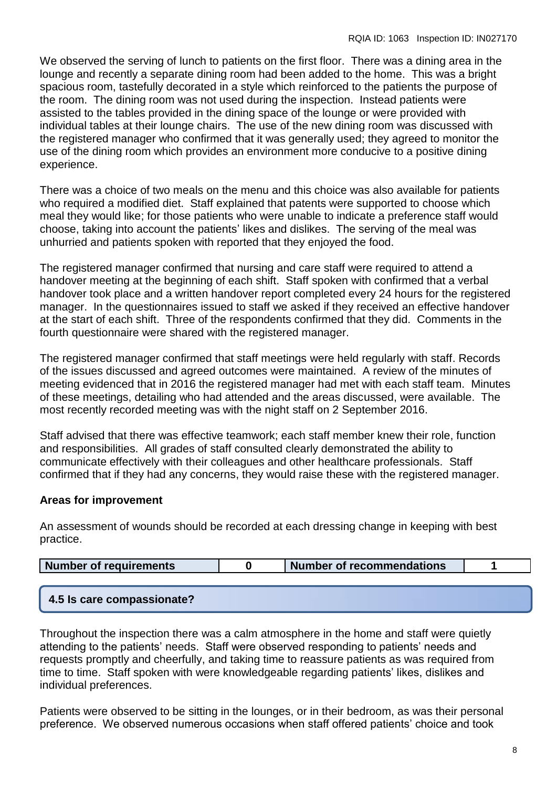We observed the serving of lunch to patients on the first floor. There was a dining area in the lounge and recently a separate dining room had been added to the home. This was a bright spacious room, tastefully decorated in a style which reinforced to the patients the purpose of the room. The dining room was not used during the inspection. Instead patients were assisted to the tables provided in the dining space of the lounge or were provided with individual tables at their lounge chairs. The use of the new dining room was discussed with the registered manager who confirmed that it was generally used; they agreed to monitor the use of the dining room which provides an environment more conducive to a positive dining experience.

There was a choice of two meals on the menu and this choice was also available for patients who required a modified diet. Staff explained that patents were supported to choose which meal they would like; for those patients who were unable to indicate a preference staff would choose, taking into account the patients' likes and dislikes. The serving of the meal was unhurried and patients spoken with reported that they enjoyed the food.

The registered manager confirmed that nursing and care staff were required to attend a handover meeting at the beginning of each shift. Staff spoken with confirmed that a verbal handover took place and a written handover report completed every 24 hours for the registered manager. In the questionnaires issued to staff we asked if they received an effective handover at the start of each shift. Three of the respondents confirmed that they did. Comments in the fourth questionnaire were shared with the registered manager.

The registered manager confirmed that staff meetings were held regularly with staff. Records of the issues discussed and agreed outcomes were maintained. A review of the minutes of meeting evidenced that in 2016 the registered manager had met with each staff team. Minutes of these meetings, detailing who had attended and the areas discussed, were available. The most recently recorded meeting was with the night staff on 2 September 2016.

Staff advised that there was effective teamwork; each staff member knew their role, function and responsibilities. All grades of staff consulted clearly demonstrated the ability to communicate effectively with their colleagues and other healthcare professionals. Staff confirmed that if they had any concerns, they would raise these with the registered manager.

#### **Areas for improvement**

An assessment of wounds should be recorded at each dressing change in keeping with best practice.

| Number of recommendations<br>Number of requirements |
|-----------------------------------------------------|
|-----------------------------------------------------|

#### **4.5 Is care compassionate?**

Throughout the inspection there was a calm atmosphere in the home and staff were quietly attending to the patients' needs. Staff were observed responding to patients' needs and requests promptly and cheerfully, and taking time to reassure patients as was required from time to time. Staff spoken with were knowledgeable regarding patients' likes, dislikes and individual preferences.

Patients were observed to be sitting in the lounges, or in their bedroom, as was their personal preference. We observed numerous occasions when staff offered patients' choice and took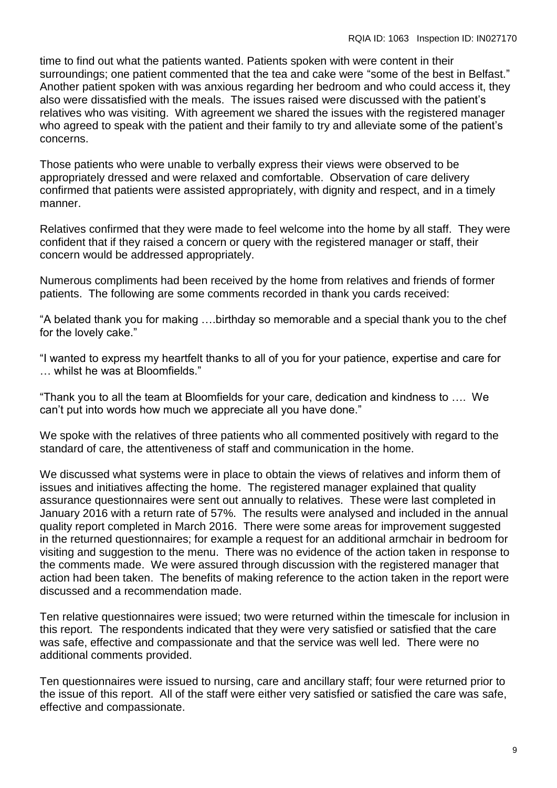time to find out what the patients wanted. Patients spoken with were content in their surroundings; one patient commented that the tea and cake were "some of the best in Belfast." Another patient spoken with was anxious regarding her bedroom and who could access it, they also were dissatisfied with the meals. The issues raised were discussed with the patient's relatives who was visiting. With agreement we shared the issues with the registered manager who agreed to speak with the patient and their family to try and alleviate some of the patient's concerns.

Those patients who were unable to verbally express their views were observed to be appropriately dressed and were relaxed and comfortable. Observation of care delivery confirmed that patients were assisted appropriately, with dignity and respect, and in a timely manner.

Relatives confirmed that they were made to feel welcome into the home by all staff. They were confident that if they raised a concern or query with the registered manager or staff, their concern would be addressed appropriately.

Numerous compliments had been received by the home from relatives and friends of former patients. The following are some comments recorded in thank you cards received:

"A belated thank you for making ….birthday so memorable and a special thank you to the chef for the lovely cake."

"I wanted to express my heartfelt thanks to all of you for your patience, expertise and care for … whilst he was at Bloomfields."

"Thank you to all the team at Bloomfields for your care, dedication and kindness to …. We can't put into words how much we appreciate all you have done."

We spoke with the relatives of three patients who all commented positively with regard to the standard of care, the attentiveness of staff and communication in the home.

We discussed what systems were in place to obtain the views of relatives and inform them of issues and initiatives affecting the home. The registered manager explained that quality assurance questionnaires were sent out annually to relatives. These were last completed in January 2016 with a return rate of 57%. The results were analysed and included in the annual quality report completed in March 2016. There were some areas for improvement suggested in the returned questionnaires; for example a request for an additional armchair in bedroom for visiting and suggestion to the menu. There was no evidence of the action taken in response to the comments made. We were assured through discussion with the registered manager that action had been taken. The benefits of making reference to the action taken in the report were discussed and a recommendation made.

Ten relative questionnaires were issued; two were returned within the timescale for inclusion in this report. The respondents indicated that they were very satisfied or satisfied that the care was safe, effective and compassionate and that the service was well led. There were no additional comments provided.

Ten questionnaires were issued to nursing, care and ancillary staff; four were returned prior to the issue of this report. All of the staff were either very satisfied or satisfied the care was safe, effective and compassionate.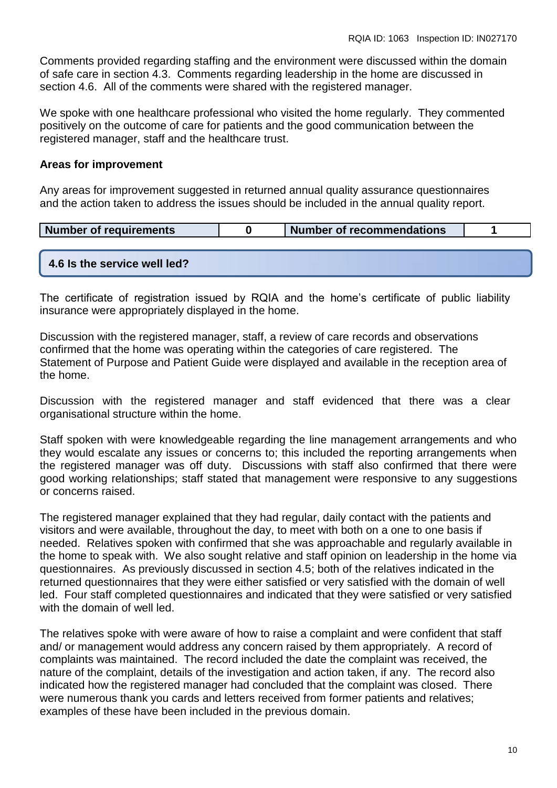Comments provided regarding staffing and the environment were discussed within the domain of safe care in section 4.3. Comments regarding leadership in the home are discussed in section 4.6. All of the comments were shared with the registered manager.

We spoke with one healthcare professional who visited the home regularly. They commented positively on the outcome of care for patients and the good communication between the registered manager, staff and the healthcare trust.

#### **Areas for improvement**

Any areas for improvement suggested in returned annual quality assurance questionnaires and the action taken to address the issues should be included in the annual quality report.

| Number of requirements | ' Number of recommendations |  |
|------------------------|-----------------------------|--|
|                        |                             |  |

#### **4.6 Is the service well led?**

The certificate of registration issued by RQIA and the home's certificate of public liability insurance were appropriately displayed in the home.

Discussion with the registered manager, staff, a review of care records and observations confirmed that the home was operating within the categories of care registered. The Statement of Purpose and Patient Guide were displayed and available in the reception area of the home.

Discussion with the registered manager and staff evidenced that there was a clear organisational structure within the home.

Staff spoken with were knowledgeable regarding the line management arrangements and who they would escalate any issues or concerns to; this included the reporting arrangements when the registered manager was off duty. Discussions with staff also confirmed that there were good working relationships; staff stated that management were responsive to any suggestions or concerns raised.

The registered manager explained that they had regular, daily contact with the patients and visitors and were available, throughout the day, to meet with both on a one to one basis if needed. Relatives spoken with confirmed that she was approachable and regularly available in the home to speak with. We also sought relative and staff opinion on leadership in the home via questionnaires. As previously discussed in section 4.5; both of the relatives indicated in the returned questionnaires that they were either satisfied or very satisfied with the domain of well led. Four staff completed questionnaires and indicated that they were satisfied or very satisfied with the domain of well led.

The relatives spoke with were aware of how to raise a complaint and were confident that staff and/ or management would address any concern raised by them appropriately. A record of complaints was maintained. The record included the date the complaint was received, the nature of the complaint, details of the investigation and action taken, if any. The record also indicated how the registered manager had concluded that the complaint was closed. There were numerous thank you cards and letters received from former patients and relatives; examples of these have been included in the previous domain.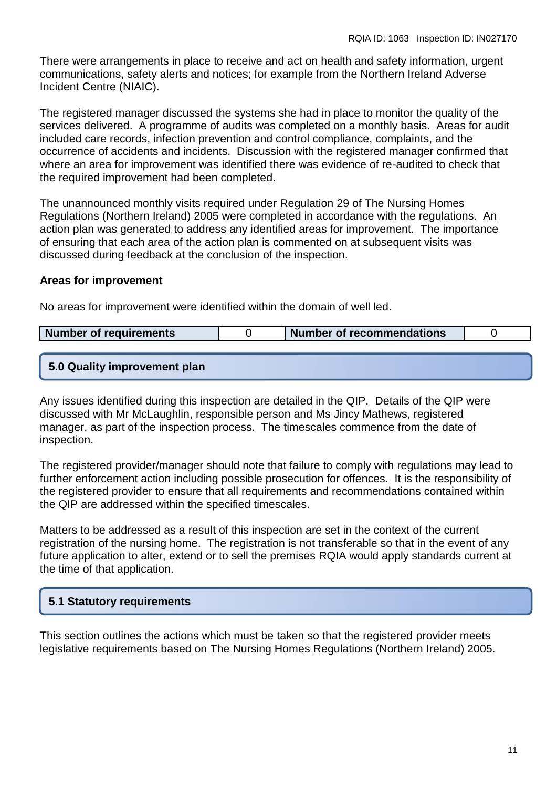There were arrangements in place to receive and act on health and safety information, urgent communications, safety alerts and notices; for example from the Northern Ireland Adverse Incident Centre (NIAIC).

The registered manager discussed the systems she had in place to monitor the quality of the services delivered. A programme of audits was completed on a monthly basis. Areas for audit included care records, infection prevention and control compliance, complaints, and the occurrence of accidents and incidents. Discussion with the registered manager confirmed that where an area for improvement was identified there was evidence of re-audited to check that the required improvement had been completed.

The unannounced monthly visits required under Regulation 29 of The Nursing Homes Regulations (Northern Ireland) 2005 were completed in accordance with the regulations. An action plan was generated to address any identified areas for improvement. The importance of ensuring that each area of the action plan is commented on at subsequent visits was discussed during feedback at the conclusion of the inspection.

#### **Areas for improvement**

No areas for improvement were identified within the domain of well led.

| Number of requirements | <b>Number of recommendations</b> |  |
|------------------------|----------------------------------|--|
|                        |                                  |  |
|                        |                                  |  |

#### **5.0 Quality improvement plan**

Any issues identified during this inspection are detailed in the QIP. Details of the QIP were discussed with Mr McLaughlin, responsible person and Ms Jincy Mathews, registered manager, as part of the inspection process. The timescales commence from the date of inspection.

The registered provider/manager should note that failure to comply with regulations may lead to further enforcement action including possible prosecution for offences. It is the responsibility of the registered provider to ensure that all requirements and recommendations contained within the QIP are addressed within the specified timescales.

Matters to be addressed as a result of this inspection are set in the context of the current registration of the nursing home. The registration is not transferable so that in the event of any future application to alter, extend or to sell the premises RQIA would apply standards current at the time of that application.

#### **5.1 Statutory requirements**

This section outlines the actions which must be taken so that the registered provider meets legislative requirements based on The Nursing Homes Regulations (Northern Ireland) 2005.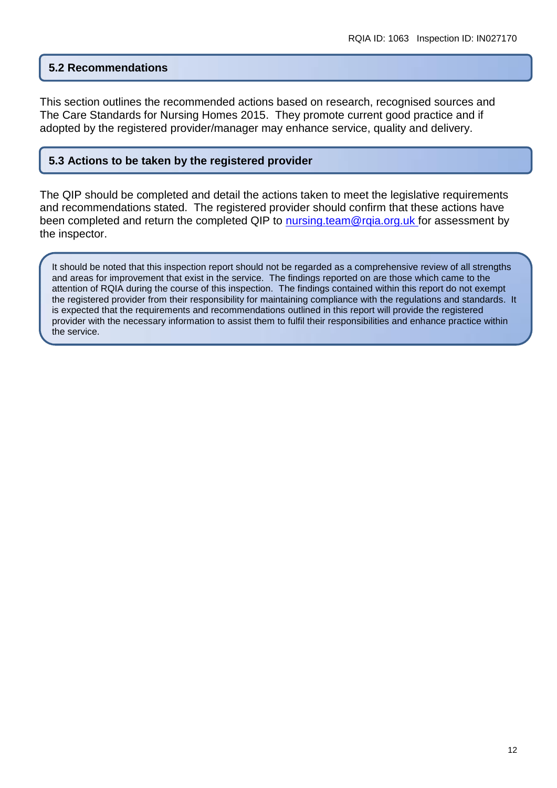#### **5.2 Recommendations**

This section outlines the recommended actions based on research, recognised sources and The Care Standards for Nursing Homes 2015. They promote current good practice and if adopted by the registered provider/manager may enhance service, quality and delivery.

#### **5.3 Actions to be taken by the registered provider**

The QIP should be completed and detail the actions taken to meet the legislative requirements and recommendations stated. The registered provider should confirm that these actions have been completed and return the completed QIP to nursing team@rqia.org.uk for assessment by the inspector.

It should be noted that this inspection report should not be regarded as a comprehensive review of all strengths and areas for improvement that exist in the service. The findings reported on are those which came to the attention of RQIA during the course of this inspection. The findings contained within this report do not exempt the registered provider from their responsibility for maintaining compliance with the regulations and standards. It is expected that the requirements and recommendations outlined in this report will provide the registered provider with the necessary information to assist them to fulfil their responsibilities and enhance practice within the service.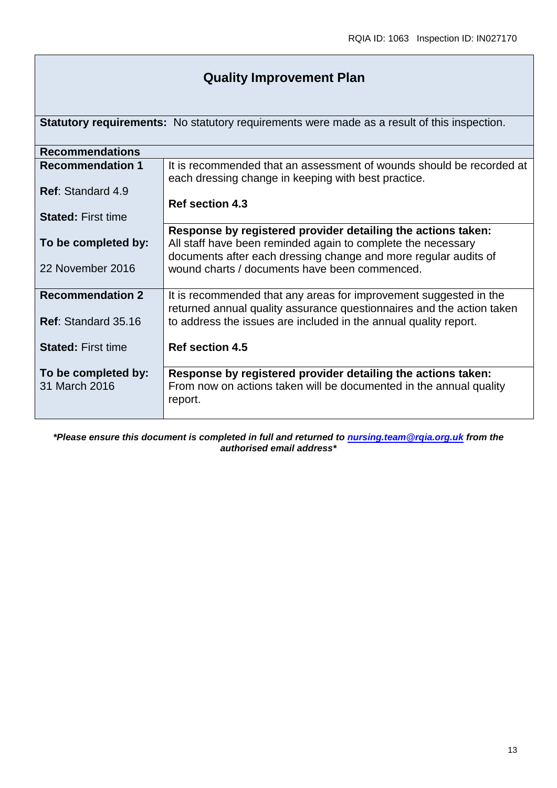### **Quality Improvement Plan**

**Statutory requirements:** No statutory requirements were made as a result of this inspection.

| <b>Recommendations</b>     |                                                                       |
|----------------------------|-----------------------------------------------------------------------|
| <b>Recommendation 1</b>    | It is recommended that an assessment of wounds should be recorded at  |
|                            | each dressing change in keeping with best practice.                   |
| <b>Ref: Standard 4.9</b>   |                                                                       |
|                            | <b>Ref section 4.3</b>                                                |
| <b>Stated: First time</b>  |                                                                       |
|                            | Response by registered provider detailing the actions taken:          |
| To be completed by:        | All staff have been reminded again to complete the necessary          |
|                            | documents after each dressing change and more regular audits of       |
| 22 November 2016           | wound charts / documents have been commenced.                         |
|                            |                                                                       |
| <b>Recommendation 2</b>    | It is recommended that any areas for improvement suggested in the     |
|                            | returned annual quality assurance questionnaires and the action taken |
| <b>Ref: Standard 35.16</b> | to address the issues are included in the annual quality report.      |
|                            |                                                                       |
| <b>Stated: First time</b>  | <b>Ref section 4.5</b>                                                |
|                            |                                                                       |
| To be completed by:        | Response by registered provider detailing the actions taken:          |
| 31 March 2016              | From now on actions taken will be documented in the annual quality    |
|                            | report.                                                               |
|                            |                                                                       |

*\*Please ensure this document is completed in full and returned to [nursing.team@rqia.org.uk](mailto:nursing.team@rqia.org.uk) from the authorised email address\**